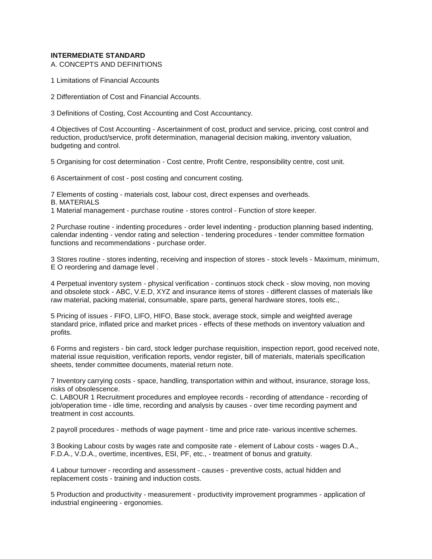## **INTERMEDIATE STANDARD**

A. CONCEPTS AND DEFINITIONS

1 Limitations of Financial Accounts

2 Differentiation of Cost and Financial Accounts.

3 Definitions of Costing, Cost Accounting and Cost Accountancy.

4 Objectives of Cost Accounting - Ascertainment of cost, product and service, pricing, cost control and reduction, product/service, profit determination, managerial decision making, inventory valuation, budgeting and control.

5 Organising for cost determination - Cost centre, Profit Centre, responsibility centre, cost unit.

6 Ascertainment of cost - post costing and concurrent costing.

7 Elements of costing - materials cost, labour cost, direct expenses and overheads. B. MATERIALS 1 Material management - purchase routine - stores control - Function of store keeper.

2 Purchase routine - indenting procedures - order level indenting - production planning based indenting, calendar indenting - vendor rating and selection - tendering procedures - tender committee formation functions and recommendations - purchase order.

3 Stores routine - stores indenting, receiving and inspection of stores - stock levels - Maximum, minimum, E O reordering and damage level .

4 Perpetual inventory system - physical verification - continuos stock check - slow moving, non moving and obsolete stock - ABC, V.E.D, XYZ and insurance items of stores - different classes of materials like raw material, packing material, consumable, spare parts, general hardware stores, tools etc.,

5 Pricing of issues - FIFO, LIFO, HIFO, Base stock, average stock, simple and weighted average standard price, inflated price and market prices - effects of these methods on inventory valuation and profits.

6 Forms and registers - bin card, stock ledger purchase requisition, inspection report, good received note, material issue requisition, verification reports, vendor register, bill of materials, materials specification sheets, tender committee documents, material return note.

7 Inventory carrying costs - space, handling, transportation within and without, insurance, storage loss, risks of obsolescence.

C. LABOUR 1 Recruitment procedures and employee records - recording of attendance - recording of job/operation time - idle time, recording and analysis by causes - over time recording payment and treatment in cost accounts.

2 payroll procedures - methods of wage payment - time and price rate- various incentive schemes.

3 Booking Labour costs by wages rate and composite rate - element of Labour costs - wages D.A., F.D.A., V.D.A., overtime, incentives, ESI, PF, etc., - treatment of bonus and gratuity.

4 Labour turnover - recording and assessment - causes - preventive costs, actual hidden and replacement costs - training and induction costs.

5 Production and productivity - measurement - productivity improvement programmes - application of industrial engineering - ergonomies.